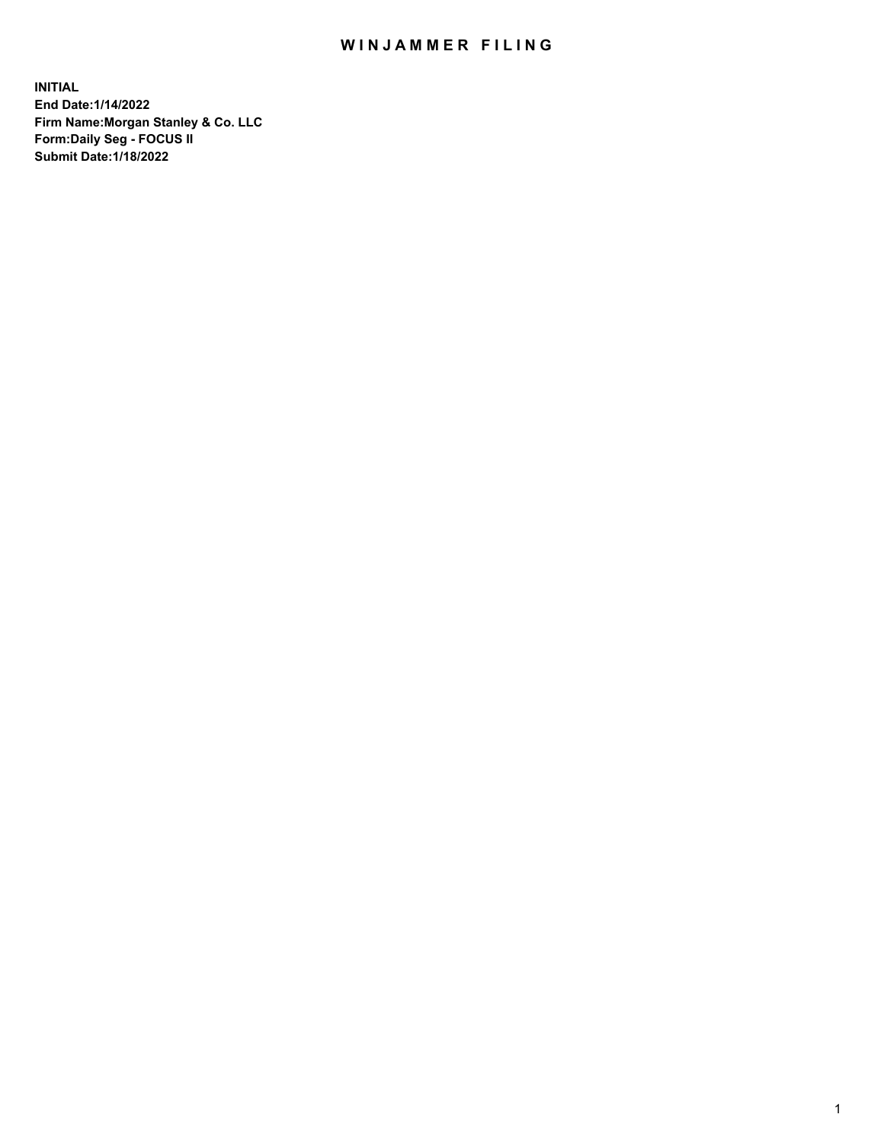## WIN JAMMER FILING

**INITIAL End Date:1/14/2022 Firm Name:Morgan Stanley & Co. LLC Form:Daily Seg - FOCUS II Submit Date:1/18/2022**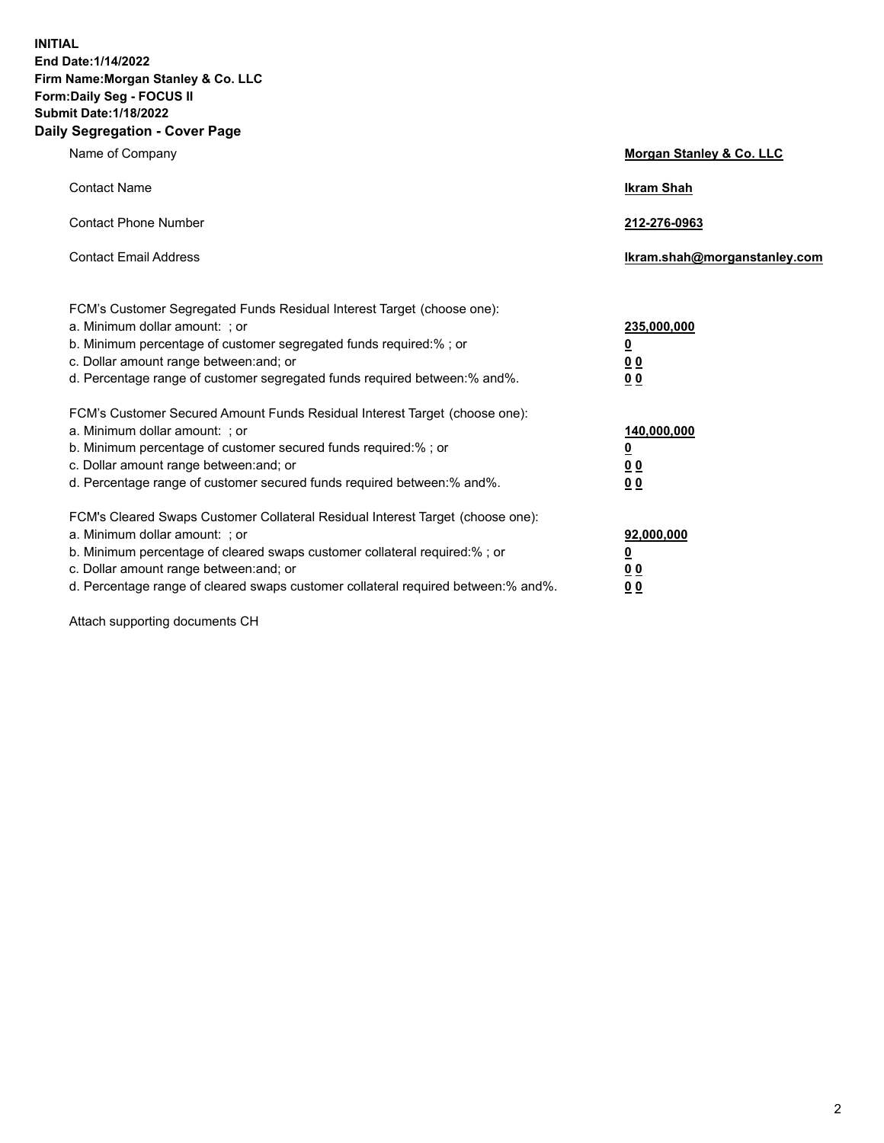**INITIAL End Date:1/14/2022 Firm Name:Morgan Stanley & Co. LLC Form:Daily Seg - FOCUS II Submit Date:1/18/2022 Daily Segregation - Cover Page**

| Name of Company                                                                                                                                                                                                                                                                                                                | Morgan Stanley & Co. LLC                               |
|--------------------------------------------------------------------------------------------------------------------------------------------------------------------------------------------------------------------------------------------------------------------------------------------------------------------------------|--------------------------------------------------------|
| <b>Contact Name</b>                                                                                                                                                                                                                                                                                                            | <b>Ikram Shah</b>                                      |
| <b>Contact Phone Number</b>                                                                                                                                                                                                                                                                                                    | 212-276-0963                                           |
| <b>Contact Email Address</b>                                                                                                                                                                                                                                                                                                   | Ikram.shah@morganstanley.com                           |
| FCM's Customer Segregated Funds Residual Interest Target (choose one):<br>a. Minimum dollar amount: : or<br>b. Minimum percentage of customer segregated funds required:%; or<br>c. Dollar amount range between: and; or<br>d. Percentage range of customer segregated funds required between:% and%.                          | 235,000,000<br><u>0</u><br>0 Q<br><u>00</u>            |
| FCM's Customer Secured Amount Funds Residual Interest Target (choose one):<br>a. Minimum dollar amount: ; or<br>b. Minimum percentage of customer secured funds required:%; or<br>c. Dollar amount range between: and; or<br>d. Percentage range of customer secured funds required between:% and%.                            | 140,000,000<br><u>0</u><br><u>00</u><br>0 <sub>0</sub> |
| FCM's Cleared Swaps Customer Collateral Residual Interest Target (choose one):<br>a. Minimum dollar amount: ; or<br>b. Minimum percentage of cleared swaps customer collateral required:% ; or<br>c. Dollar amount range between: and; or<br>d. Percentage range of cleared swaps customer collateral required between:% and%. | 92,000,000<br><u>0</u><br><u>00</u><br>0 <sub>0</sub>  |

Attach supporting documents CH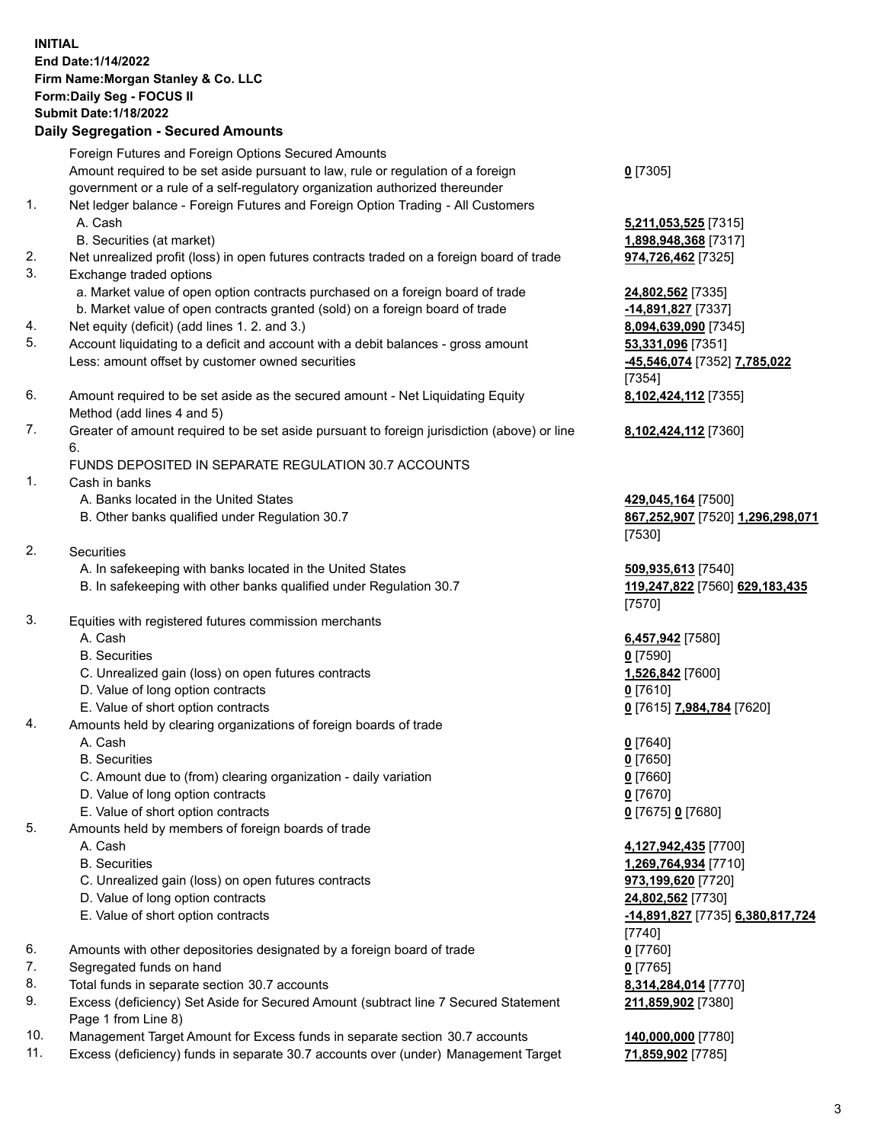## **INITIAL End Date:1/14/2022 Firm Name:Morgan Stanley & Co. LLC Form:Daily Seg - FOCUS II Submit Date:1/18/2022**

## **Daily Segregation - Secured Amounts**

Foreign Futures and Foreign Options Secured Amounts Amount required to be set aside pursuant to law, rule or regulation of a foreign government or a rule of a self-regulatory organization authorized thereunder

- 1. Net ledger balance Foreign Futures and Foreign Option Trading All Customers A. Cash **5,211,053,525** [7315]
	- B. Securities (at market) **1,898,948,368** [7317]
- 2. Net unrealized profit (loss) in open futures contracts traded on a foreign board of trade **974,726,462** [7325]
- 3. Exchange traded options
	- a. Market value of open option contracts purchased on a foreign board of trade **24,802,562** [7335]
	- b. Market value of open contracts granted (sold) on a foreign board of trade **-14,891,827** [7337]
- 4. Net equity (deficit) (add lines 1. 2. and 3.) **8,094,639,090** [7345]
- 5. Account liquidating to a deficit and account with a debit balances gross amount **53,331,096** [7351] Less: amount offset by customer owned securities **-45,546,074** [7352] **7,785,022**
- 6. Amount required to be set aside as the secured amount Net Liquidating Equity Method (add lines 4 and 5)
- 7. Greater of amount required to be set aside pursuant to foreign jurisdiction (above) or line 6.

## FUNDS DEPOSITED IN SEPARATE REGULATION 30.7 ACCOUNTS

- 1. Cash in banks
	- A. Banks located in the United States **429,045,164** [7500]
	- B. Other banks qualified under Regulation 30.7 **867,252,907** [7520] **1,296,298,071**
- 2. Securities
	- A. In safekeeping with banks located in the United States **509,935,613** [7540]
	- B. In safekeeping with other banks qualified under Regulation 30.7 **119,247,822** [7560] **629,183,435**
- 3. Equities with registered futures commission merchants
	-
	- B. Securities **0** [7590]
	- C. Unrealized gain (loss) on open futures contracts **1,526,842** [7600]
	- D. Value of long option contracts **0** [7610]
	- E. Value of short option contracts **0** [7615] **7,984,784** [7620]
- 4. Amounts held by clearing organizations of foreign boards of trade
	- A. Cash **0** [7640]
	- B. Securities **0** [7650]
	- C. Amount due to (from) clearing organization daily variation **0** [7660]
	- D. Value of long option contracts **0** [7670]
	- E. Value of short option contracts **0** [7675] **0** [7680]
- 5. Amounts held by members of foreign boards of trade
	-
	-
	- C. Unrealized gain (loss) on open futures contracts **973,199,620** [7720]
	- D. Value of long option contracts **24,802,562** [7730]
	-
- 6. Amounts with other depositories designated by a foreign board of trade **0** [7760]
- 7. Segregated funds on hand **0** [7765]
- 8. Total funds in separate section 30.7 accounts **8,314,284,014** [7770]
- 9. Excess (deficiency) Set Aside for Secured Amount (subtract line 7 Secured Statement Page 1 from Line 8)
- 10. Management Target Amount for Excess funds in separate section 30.7 accounts **140,000,000** [7780]
- 11. Excess (deficiency) funds in separate 30.7 accounts over (under) Management Target **71,859,902** [7785]

**0** [7305]

[7354] **8,102,424,112** [7355]

**8,102,424,112** [7360]

[7530]

[7570]

A. Cash **6,457,942** [7580]

 A. Cash **4,127,942,435** [7700] B. Securities **1,269,764,934** [7710] E. Value of short option contracts **-14,891,827** [7735] **6,380,817,724** [7740] **211,859,902** [7380]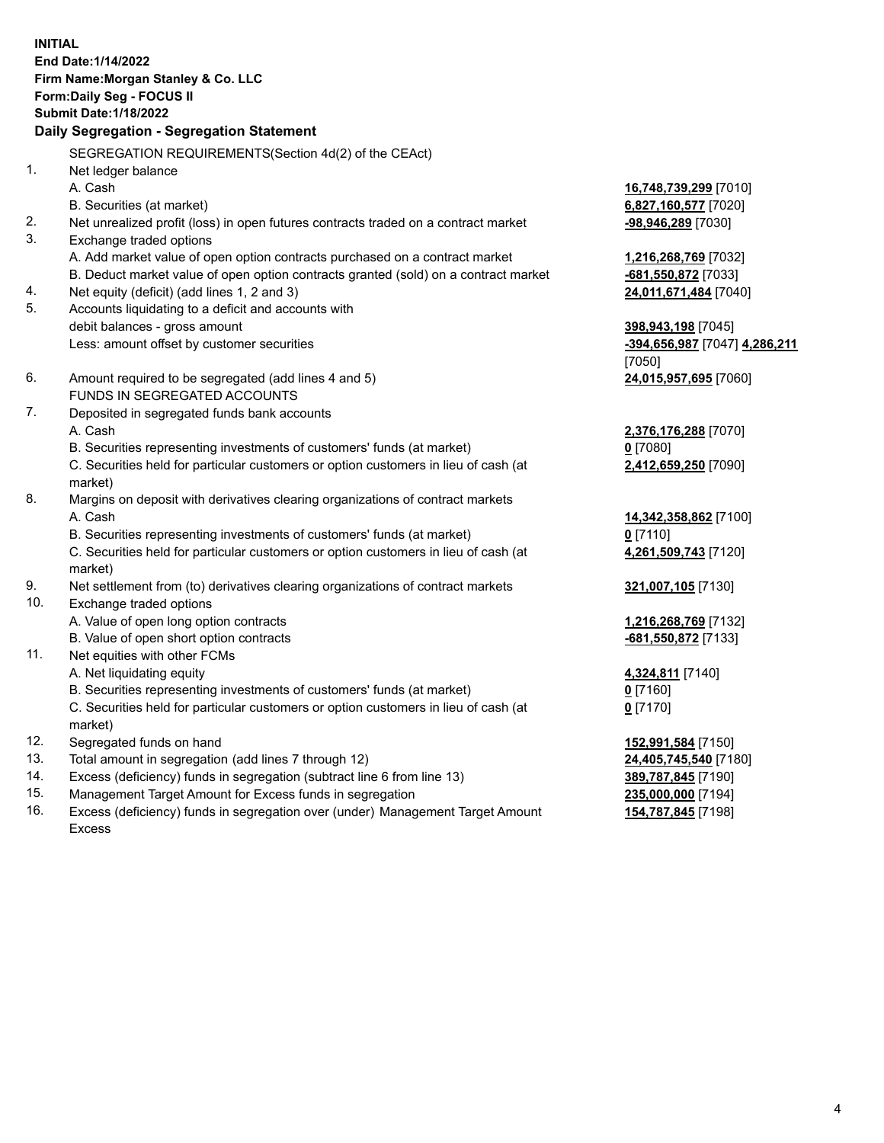**INITIAL End Date:1/14/2022 Firm Name:Morgan Stanley & Co. LLC Form:Daily Seg - FOCUS II Submit Date:1/18/2022 Daily Segregation - Segregation Statement** SEGREGATION REQUIREMENTS(Section 4d(2) of the CEAct) 1. Net ledger balance A. Cash **16,748,739,299** [7010] B. Securities (at market) **6,827,160,577** [7020] 2. Net unrealized profit (loss) in open futures contracts traded on a contract market **-98,946,289** [7030] 3. Exchange traded options A. Add market value of open option contracts purchased on a contract market **1,216,268,769** [7032] B. Deduct market value of open option contracts granted (sold) on a contract market **-681,550,872** [7033] 4. Net equity (deficit) (add lines 1, 2 and 3) **24,011,671,484** [7040] 5. Accounts liquidating to a deficit and accounts with debit balances - gross amount **398,943,198** [7045] Less: amount offset by customer securities **-394,656,987** [7047] **4,286,211** [7050] 6. Amount required to be segregated (add lines 4 and 5) **24,015,957,695** [7060] FUNDS IN SEGREGATED ACCOUNTS 7. Deposited in segregated funds bank accounts A. Cash **2,376,176,288** [7070] B. Securities representing investments of customers' funds (at market) **0** [7080] C. Securities held for particular customers or option customers in lieu of cash (at market) **2,412,659,250** [7090] 8. Margins on deposit with derivatives clearing organizations of contract markets A. Cash **14,342,358,862** [7100] B. Securities representing investments of customers' funds (at market) **0** [7110] C. Securities held for particular customers or option customers in lieu of cash (at market) **4,261,509,743** [7120] 9. Net settlement from (to) derivatives clearing organizations of contract markets **321,007,105** [7130] 10. Exchange traded options A. Value of open long option contracts **1,216,268,769** [7132] B. Value of open short option contracts **and the set of our of the set of our of the set of our of the set of the set of the set of the set of the set of the set of the set of the set of the set of the set of the set of th** 11. Net equities with other FCMs A. Net liquidating equity **4,324,811** [7140] B. Securities representing investments of customers' funds (at market) **0** [7160] C. Securities held for particular customers or option customers in lieu of cash (at market) **0** [7170] 12. Segregated funds on hand **152,991,584** [7150] 13. Total amount in segregation (add lines 7 through 12) **24,405,745,540** [7180] 14. Excess (deficiency) funds in segregation (subtract line 6 from line 13) **389,787,845** [7190] 15. Management Target Amount for Excess funds in segregation **235,000,000** [7194]

16. Excess (deficiency) funds in segregation over (under) Management Target Amount Excess

**154,787,845** [7198]